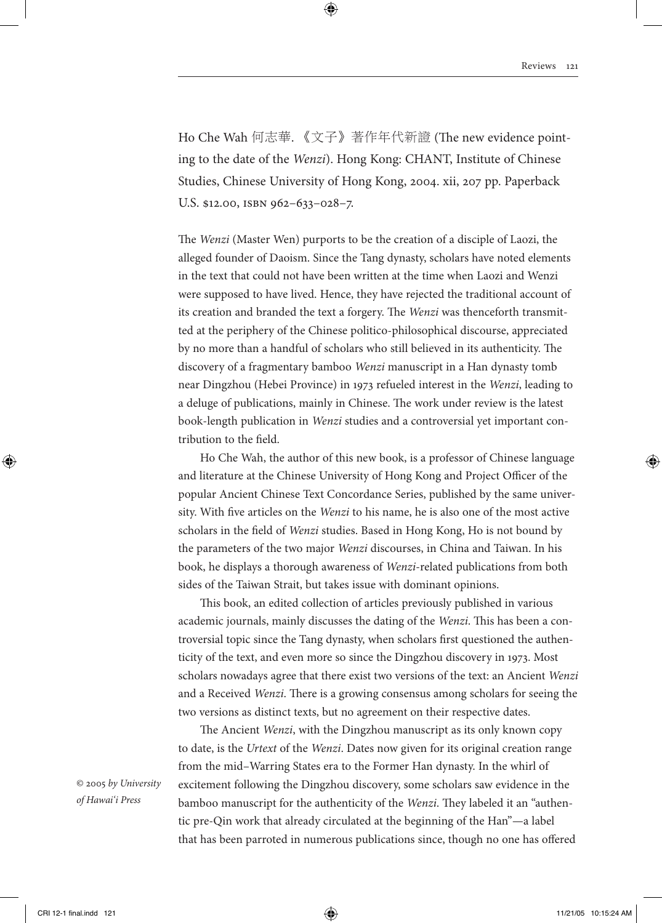Ho Che Wah 何志華. 《文子》著作年代新證 (The new evidence pointing to the date of the Wenzi). Hong Kong: CHANT, Institute of Chinese Studies, Chinese University of Hong Kong, 2004. xii, 207 pp. Paperback U.S. \$12.00, ISBN 962-633-028-7.

The Wenzi (Master Wen) purports to be the creation of a disciple of Laozi, the alleged founder of Daoism. Since the Tang dynasty, scholars have noted elements in the text that could not have been written at the time when Laozi and Wenzi were supposed to have lived. Hence, they have rejected the traditional account of its creation and branded the text a forgery. The Wenzi was thenceforth transmitted at the periphery of the Chinese politico-philosophical discourse, appreciated by no more than a handful of scholars who still believed in its authenticity. The discovery of a fragmentary bamboo Wenzi manuscript in a Han dynasty tomb near Dingzhou (Hebei Province) in 1973 refueled interest in the Wenzi, leading to a deluge of publications, mainly in Chinese. The work under review is the latest book-length publication in Wenzi studies and a controversial yet important contribution to the field.

Ho Che Wah, the author of this new book, is a professor of Chinese language and literature at the Chinese University of Hong Kong and Project Officer of the popular Ancient Chinese Text Concordance Series, published by the same university. With five articles on the Wenzi to his name, he is also one of the most active scholars in the field of Wenzi studies. Based in Hong Kong, Ho is not bound by the parameters of the two major Wenzi discourses, in China and Taiwan. In his book, he displays a thorough awareness of Wenzi-related publications from both sides of the Taiwan Strait, but takes issue with dominant opinions.

This book, an edited collection of articles previously published in various academic journals, mainly discusses the dating of the Wenzi. This has been a controversial topic since the Tang dynasty, when scholars first questioned the authenticity of the text, and even more so since the Dingzhou discovery in 1973. Most scholars nowadays agree that there exist two versions of the text: an Ancient Wenzi and a Received Wenzi. There is a growing consensus among scholars for seeing the two versions as distinct texts, but no agreement on their respective dates.

The Ancient Wenzi, with the Dingzhou manuscript as its only known copy to date, is the Urtext of the Wenzi. Dates now given for its original creation range from the mid-Warring States era to the Former Han dynasty. In the whirl of excitement following the Dingzhou discovery, some scholars saw evidence in the bamboo manuscript for the authenticity of the Wenzi. They labeled it an "authentic pre-Qin work that already circulated at the beginning of the Han"—a label that has been parroted in numerous publications since, though no one has offered

© 2005 by University of Hawai'i Press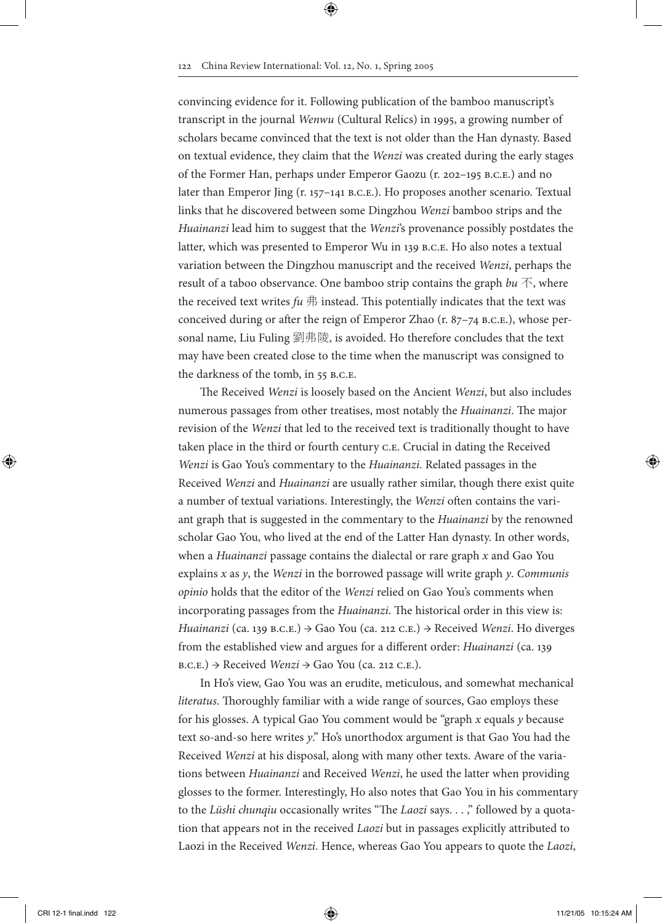convincing evidence for it. Following publication of the bamboo manuscript's transcript in the journal Wenwu (Cultural Relics) in 1995, a growing number of scholars became convinced that the text is not older than the Han dynasty. Based on textual evidence, they claim that the *Wenzi* was created during the early stages of the Former Han, perhaps under Emperor Gaozu (r. 202-195 B.C.E.) and no later than Emperor Jing (r. 157–141 B.C.E.). Ho proposes another scenario. Textual links that he discovered between some Dingzhou Wenzi bamboo strips and the Huainanzi lead him to suggest that the Wenzi's provenance possibly postdates the latter, which was presented to Emperor Wu in 139 B.C.E. Ho also notes a textual variation between the Dingzhou manuscript and the received Wenzi, perhaps the result of a taboo observance. One bamboo strip contains the graph bu  $\overline{\uparrow}$ , where the received text writes  $fu \nleftrightarrow$  instead. This potentially indicates that the text was conceived during or after the reign of Emperor Zhao (r. 87–74 B.C.E.), whose personal name, Liu Fuling 劉弗陵, is avoided. Ho therefore concludes that the text may have been created close to the time when the manuscript was consigned to the darkness of the tomb, in 55 B.C.E.

The Received Wenzi is loosely based on the Ancient Wenzi, but also includes numerous passages from other treatises, most notably the *Huainanzi*. The major revision of the Wenzi that led to the received text is traditionally thought to have taken place in the third or fourth century C.E. Crucial in dating the Received Wenzi is Gao You's commentary to the Huainanzi. Related passages in the Received Wenzi and Huainanzi are usually rather similar, though there exist quite a number of textual variations. Interestingly, the Wenzi often contains the variant graph that is suggested in the commentary to the *Huainanzi* by the renowned scholar Gao You, who lived at the end of the Latter Han dynasty. In other words, when a Huainanzi passage contains the dialectal or rare graph  $x$  and Gao You explains  $x$  as  $y$ , the *Wenzi* in the borrowed passage will write graph  $y$ . *Communis* opinio holds that the editor of the Wenzi relied on Gao You's comments when incorporating passages from the Huainanzi. The historical order in this view is: *Huainanzi* (ca. 139 B.C.E.)  $\rightarrow$  Gao You (ca. 212 C.E.)  $\rightarrow$  Received *Wenzi*. Ho diverges from the established view and argues for a different order: Huainanzi (ca. 139  $B.C.E.) \rightarrow Received Wenzi \rightarrow Gao You (ca. 212 C.E.).$ 

In Ho's view, Gao You was an erudite, meticulous, and somewhat mechanical literatus. Thoroughly familiar with a wide range of sources, Gao employs these for his glosses. A typical Gao You comment would be "graph  $x$  equals  $y$  because text so-and-so here writes  $y$ ." Ho's unorthodox argument is that Gao You had the Received Wenzi at his disposal, along with many other texts. Aware of the variations between Huainanzi and Received Wenzi, he used the latter when providing glosses to the former. Interestingly, Ho also notes that Gao You in his commentary to the Lüshi chunqiu occasionally writes "The Laozi says...," followed by a quotation that appears not in the received Laozi but in passages explicitly attributed to Laozi in the Received *Wenzi*. Hence, whereas Gao You appears to quote the *Laozi*,